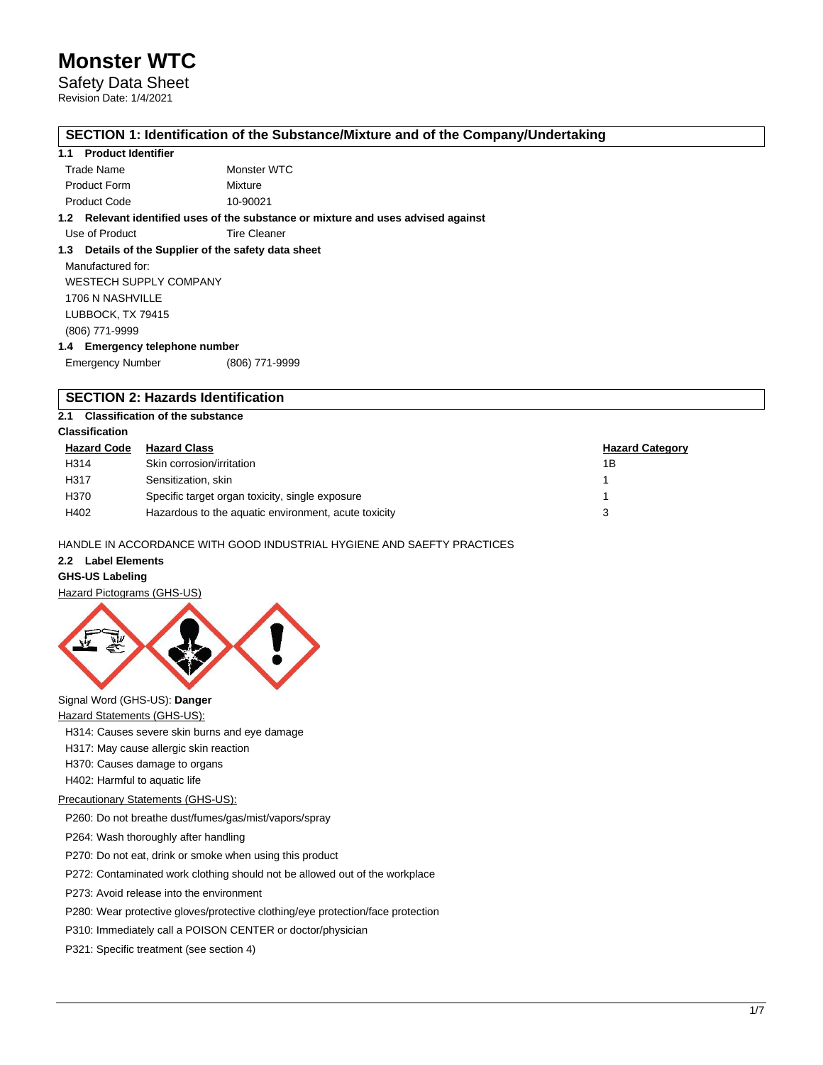## Safety Data Sheet Revision Date: 1/4/2021

**SECTION 1: Identification of the Substance/Mixture and of the Company/Undertaking**

### **1.1 Product Identifier**

| Trade Name          | Monster WTC |
|---------------------|-------------|
| <b>Product Form</b> | Mixture     |
| <b>Product Code</b> | 10-90021    |

**1.2 Relevant identified uses of the substance or mixture and uses advised against**

Use of Product Tire Cleaner

# **1.3 Details of the Supplier of the safety data sheet**

Manufactured for: WESTECH SUPPLY COMPANY 1706 N NASHVILLE LUBBOCK, TX 79415 (806) 771-9999

# **1.4 Emergency telephone number**

Emergency Number (806) 771-9999

# **SECTION 2: Hazards Identification**

# **2.1 Classification of the substance**

# **Classification**

| <b>Hazard Code</b> | <b>Hazard Class</b>                                  | <b>Hazard Category</b> |
|--------------------|------------------------------------------------------|------------------------|
| H314               | Skin corrosion/irritation                            | 1Β                     |
| H317               | Sensitization, skin                                  |                        |
| H370               | Specific target organ toxicity, single exposure      |                        |
| H402               | Hazardous to the aquatic environment, acute toxicity |                        |

# HANDLE IN ACCORDANCE WITH GOOD INDUSTRIAL HYGIENE AND SAEFTY PRACTICES

# **2.2 Label Elements**

### **GHS-US Labeling**

Hazard Pictograms (GHS-US)



# Signal Word (GHS-US): **Danger**

**Hazard Statements (GHS-US):** 

H314: Causes severe skin burns and eye damage

H317: May cause allergic skin reaction

H370: Causes damage to organs

H402: Harmful to aquatic life

# Precautionary Statements (GHS-US):

P260: Do not breathe dust/fumes/gas/mist/vapors/spray

P264: Wash thoroughly after handling

P270: Do not eat, drink or smoke when using this product

P272: Contaminated work clothing should not be allowed out of the workplace

P273: Avoid release into the environment

P280: Wear protective gloves/protective clothing/eye protection/face protection

P310: Immediately call a POISON CENTER or doctor/physician

P321: Specific treatment (see section 4)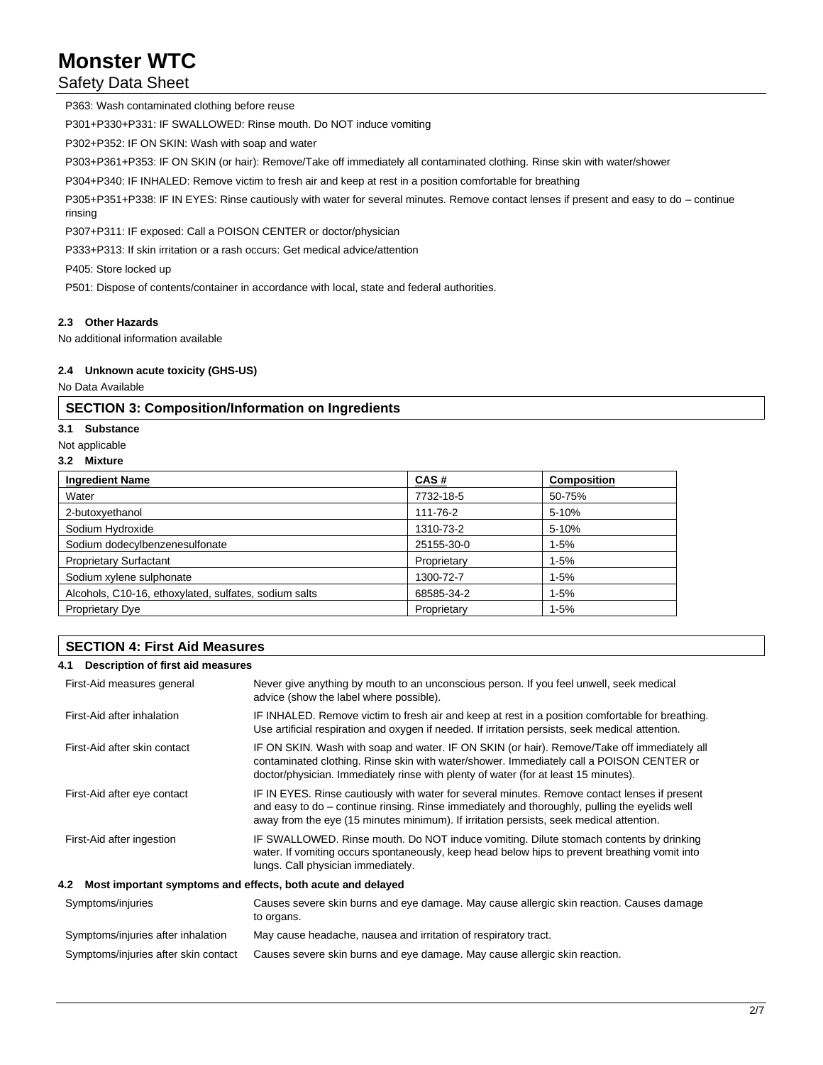Safety Data Sheet

P363: Wash contaminated clothing before reuse P301+P330+P331: IF SWALLOWED: Rinse mouth. Do NOT induce vomiting P302+P352: IF ON SKIN: Wash with soap and water P303+P361+P353: IF ON SKIN (or hair): Remove/Take off immediately all contaminated clothing. Rinse skin with water/shower P304+P340: IF INHALED: Remove victim to fresh air and keep at rest in a position comfortable for breathing P305+P351+P338: IF IN EYES: Rinse cautiously with water for several minutes. Remove contact lenses if present and easy to do – continue rinsing P307+P311: IF exposed: Call a POISON CENTER or doctor/physician P333+P313: If skin irritation or a rash occurs: Get medical advice/attention P405: Store locked up P501: Dispose of contents/container in accordance with local, state and federal authorities.

# **2.3 Other Hazards**

No additional information available

#### **2.4 Unknown acute toxicity (GHS-US)**

No Data Available

# **SECTION 3: Composition/Information on Ingredients**

#### **3.1 Substance**

Not applicable

#### **3.2 Mixture**

| <b>Ingredient Name</b>                                | CAS#        | <b>Composition</b> |
|-------------------------------------------------------|-------------|--------------------|
| Water                                                 | 7732-18-5   | 50-75%             |
| 2-butoxyethanol                                       | 111-76-2    | 5-10%              |
| Sodium Hydroxide                                      | 1310-73-2   | 5-10%              |
| Sodium dodecylbenzenesulfonate                        | 25155-30-0  | $1 - 5%$           |
| <b>Proprietary Surfactant</b>                         | Proprietary | $1 - 5%$           |
| Sodium xylene sulphonate                              | 1300-72-7   | $1 - 5%$           |
| Alcohols, C10-16, ethoxylated, sulfates, sodium salts | 68585-34-2  | $1 - 5%$           |
| <b>Proprietary Dye</b>                                | Proprietary | $1 - 5%$           |

# **SECTION 4: First Aid Measures**

### **4.1 Description of first aid measures**

| First-Aid measures general                                      | Never give anything by mouth to an unconscious person. If you feel unwell, seek medical<br>advice (show the label where possible).                                                                                                                                                        |  |  |
|-----------------------------------------------------------------|-------------------------------------------------------------------------------------------------------------------------------------------------------------------------------------------------------------------------------------------------------------------------------------------|--|--|
| First-Aid after inhalation                                      | IF INHALED. Remove victim to fresh air and keep at rest in a position comfortable for breathing.<br>Use artificial respiration and oxygen if needed. If irritation persists, seek medical attention.                                                                                      |  |  |
| First-Aid after skin contact                                    | IF ON SKIN. Wash with soap and water. IF ON SKIN (or hair). Remove/Take off immediately all<br>contaminated clothing. Rinse skin with water/shower. Immediately call a POISON CENTER or<br>doctor/physician. Immediately rinse with plenty of water (for at least 15 minutes).            |  |  |
| First-Aid after eye contact                                     | IF IN EYES. Rinse cautiously with water for several minutes. Remove contact lenses if present<br>and easy to do – continue rinsing. Rinse immediately and thoroughly, pulling the eyelids well<br>away from the eye (15 minutes minimum). If irritation persists, seek medical attention. |  |  |
| First-Aid after ingestion                                       | IF SWALLOWED. Rinse mouth. Do NOT induce vomiting. Dilute stomach contents by drinking<br>water. If vomiting occurs spontaneously, keep head below hips to prevent breathing vomit into<br>lungs. Call physician immediately.                                                             |  |  |
| 4.2 Most important symptoms and effects, both acute and delayed |                                                                                                                                                                                                                                                                                           |  |  |
| Symptoms/injuries                                               | Causes severe skin burns and eye damage. May cause allergic skin reaction. Causes damage<br>to organs.                                                                                                                                                                                    |  |  |
| Symptoms/injuries after inhalation                              | May cause headache, nausea and irritation of respiratory tract.                                                                                                                                                                                                                           |  |  |
| Symptoms/injuries after skin contact                            | Causes severe skin burns and eye damage. May cause allergic skin reaction.                                                                                                                                                                                                                |  |  |
|                                                                 |                                                                                                                                                                                                                                                                                           |  |  |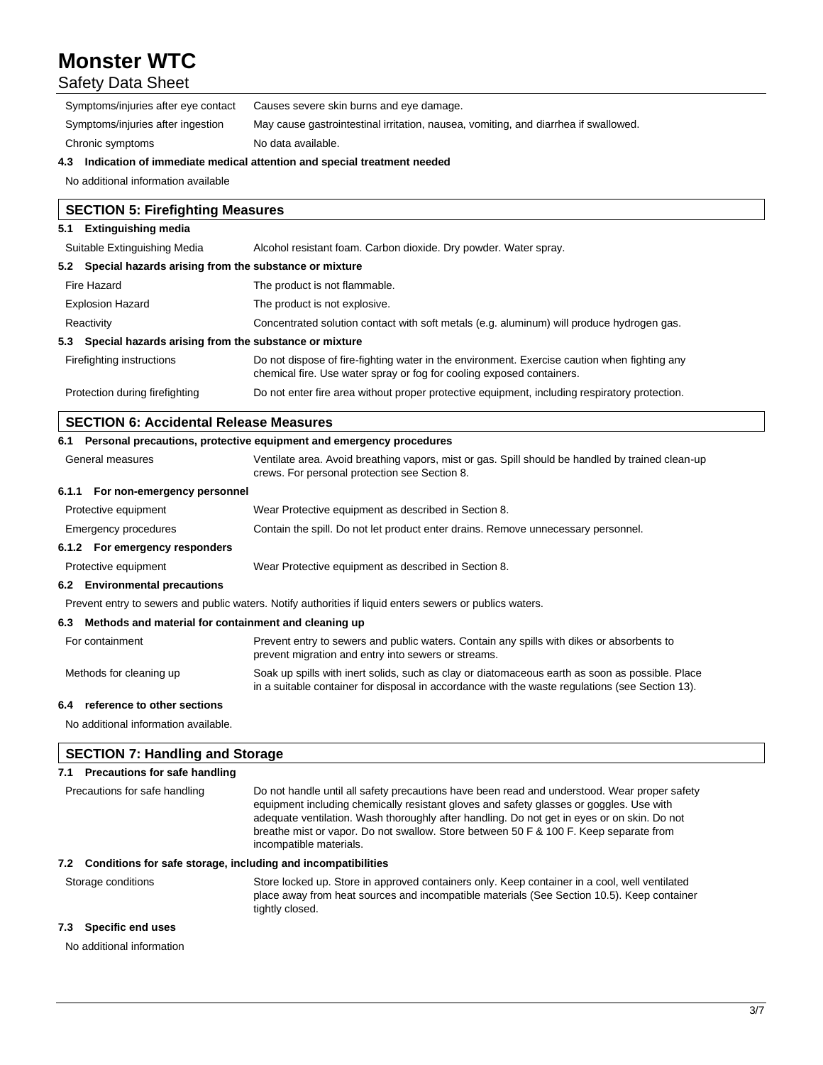# Safety Data Sheet

|                                     | A - Haallaadiga af banaankata maakaalaa attauting maakaankaankaanaankaankaanka      |
|-------------------------------------|-------------------------------------------------------------------------------------|
| Chronic symptoms                    | No data available.                                                                  |
| Symptoms/injuries after ingestion   | May cause gastrointestinal irritation, nausea, vomiting, and diarrhea if swallowed. |
| Symptoms/injuries after eye contact | Causes severe skin burns and eye damage.                                            |

#### **4.3 Indication of immediate medical attention and special treatment needed**

No additional information available

# **SECTION 5: Firefighting Measures**

# **5.1 Extinguishing media**

| Suitable Extinguishing Media                              | Alcohol resistant foam. Carbon dioxide. Dry powder. Water spray.                                                                                                      |  |
|-----------------------------------------------------------|-----------------------------------------------------------------------------------------------------------------------------------------------------------------------|--|
| 5.2 Special hazards arising from the substance or mixture |                                                                                                                                                                       |  |
| Fire Hazard                                               | The product is not flammable.                                                                                                                                         |  |
| <b>Explosion Hazard</b>                                   | The product is not explosive.                                                                                                                                         |  |
| Reactivity                                                | Concentrated solution contact with soft metals (e.g. aluminum) will produce hydrogen gas.                                                                             |  |
| 5.3 Special hazards arising from the substance or mixture |                                                                                                                                                                       |  |
| Firefighting instructions                                 | Do not dispose of fire-fighting water in the environment. Exercise caution when fighting any<br>chemical fire. Use water spray or fog for cooling exposed containers. |  |
| Protection during firefighting                            | Do not enter fire area without proper protective equipment, including respiratory protection.                                                                         |  |

# **SECTION 6: Accidental Release Measures**

|                                                          | 6.1 Personal precautions, protective equipment and emergency procedures                                                                                                                            |
|----------------------------------------------------------|----------------------------------------------------------------------------------------------------------------------------------------------------------------------------------------------------|
| General measures                                         | Ventilate area. Avoid breathing vapors, mist or gas. Spill should be handled by trained clean-up<br>crews. For personal protection see Section 8.                                                  |
| 6.1.1 For non-emergency personnel                        |                                                                                                                                                                                                    |
| Protective equipment                                     | Wear Protective equipment as described in Section 8.                                                                                                                                               |
| Emergency procedures                                     | Contain the spill. Do not let product enter drains. Remove unnecessary personnel.                                                                                                                  |
| 6.1.2 For emergency responders                           |                                                                                                                                                                                                    |
| Protective equipment                                     | Wear Protective equipment as described in Section 8.                                                                                                                                               |
| 6.2 Environmental precautions                            |                                                                                                                                                                                                    |
|                                                          | Prevent entry to sewers and public waters. Notify authorities if liquid enters sewers or publics waters.                                                                                           |
| 6.3 Methods and material for containment and cleaning up |                                                                                                                                                                                                    |
| For containment                                          | Prevent entry to sewers and public waters. Contain any spills with dikes or absorbents to<br>prevent migration and entry into sewers or streams.                                                   |
| Methods for cleaning up                                  | Soak up spills with inert solids, such as clay or diatomaceous earth as soon as possible. Place<br>in a suitable container for disposal in accordance with the waste regulations (see Section 13). |
| 6.4 reference to other sections                          |                                                                                                                                                                                                    |

No additional information available.

# **SECTION 7: Handling and Storage 7.1 Precautions for safe handling** Precautions for safe handling Do not handle until all safety precautions have been read and understood. Wear proper safety equipment including chemically resistant gloves and safety glasses or goggles. Use with adequate ventilation. Wash thoroughly after handling. Do not get in eyes or on skin. Do not breathe mist or vapor. Do not swallow. Store between 50 F & 100 F. Keep separate from incompatible materials. **7.2 Conditions for safe storage, including and incompatibilities** Storage conditions Store locked up. Store in approved containers only. Keep container in a cool, well ventilated place away from heat sources and incompatible materials (See Section 10.5). Keep container tightly closed.

#### **7.3 Specific end uses**

No additional information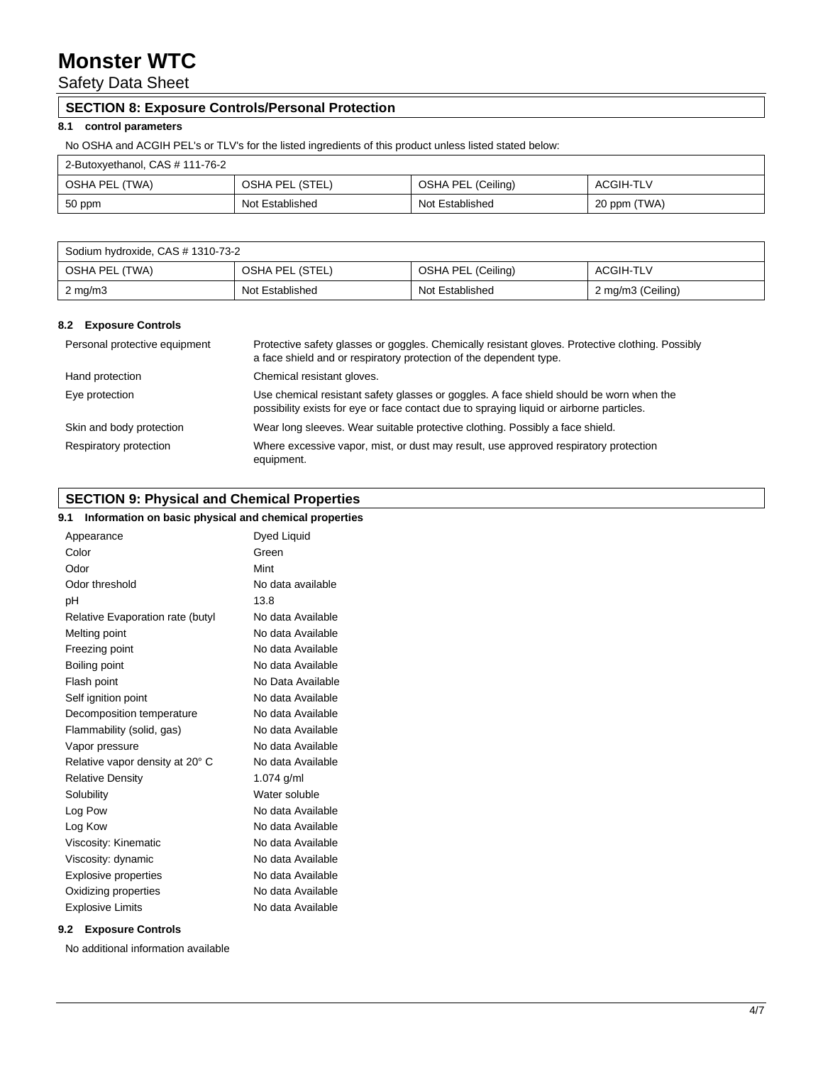Safety Data Sheet

# **SECTION 8: Exposure Controls/Personal Protection**

# **8.1 control parameters**

No OSHA and ACGIH PEL's or TLV's for the listed ingredients of this product unless listed stated below:

| 2-Butoxyethanol, CAS # 111-76-2 |                 |                    |              |
|---------------------------------|-----------------|--------------------|--------------|
| OSHA PEL (TWA)                  | OSHA PEL (STEL) | OSHA PEL (Ceiling) | ACGIH-TLV    |
| 50 ppm                          | Not Established | Not Established    | 20 ppm (TWA) |

| Sodium hydroxide, CAS # 1310-73-2 |                 |                    |                   |
|-----------------------------------|-----------------|--------------------|-------------------|
| OSHA PEL (TWA)                    | OSHA PEL (STEL) | OSHA PEL (Ceiling) | ACGIH-TLV         |
| $2 \text{ mg/m}$                  | Not Established | Not Established    | 2 mg/m3 (Ceiling) |

### **8.2 Exposure Controls**

| Personal protective equipment | Protective safety glasses or goggles. Chemically resistant gloves. Protective clothing. Possibly<br>a face shield and or respiratory protection of the dependent type.              |
|-------------------------------|-------------------------------------------------------------------------------------------------------------------------------------------------------------------------------------|
| Hand protection               | Chemical resistant gloves.                                                                                                                                                          |
| Eye protection                | Use chemical resistant safety glasses or goggles. A face shield should be worn when the<br>possibility exists for eye or face contact due to spraying liquid or airborne particles. |
| Skin and body protection      | Wear long sleeves. Wear suitable protective clothing. Possibly a face shield.                                                                                                       |
| Respiratory protection        | Where excessive vapor, mist, or dust may result, use approved respiratory protection<br>equipment.                                                                                  |

# **SECTION 9: Physical and Chemical Properties**

# **9.1 Information on basic physical and chemical properties**

| Appearance                       | Dyed Liquid       |
|----------------------------------|-------------------|
| Color                            | Green             |
| Odor                             | Mint              |
| Odor threshold                   | No data available |
| рH                               | 13.8              |
| Relative Evaporation rate (butyl | No data Available |
| Melting point                    | No data Available |
| Freezing point                   | No data Available |
| Boiling point                    | No data Available |
| Flash point                      | No Data Available |
| Self ignition point              | No data Available |
| Decomposition temperature        | No data Available |
| Flammability (solid, gas)        | No data Available |
| Vapor pressure                   | No data Available |
| Relative vapor density at 20° C  | No data Available |
| <b>Relative Density</b>          | 1.074 $g/ml$      |
| Solubility                       | Water soluble     |
| Log Pow                          | No data Available |
| Log Kow                          | No data Available |
| Viscosity: Kinematic             | No data Available |
| Viscosity: dynamic               | No data Available |
| <b>Explosive properties</b>      | No data Available |
| Oxidizing properties             | No data Available |
| <b>Explosive Limits</b>          | No data Available |

### **9.2 Exposure Controls**

No additional information available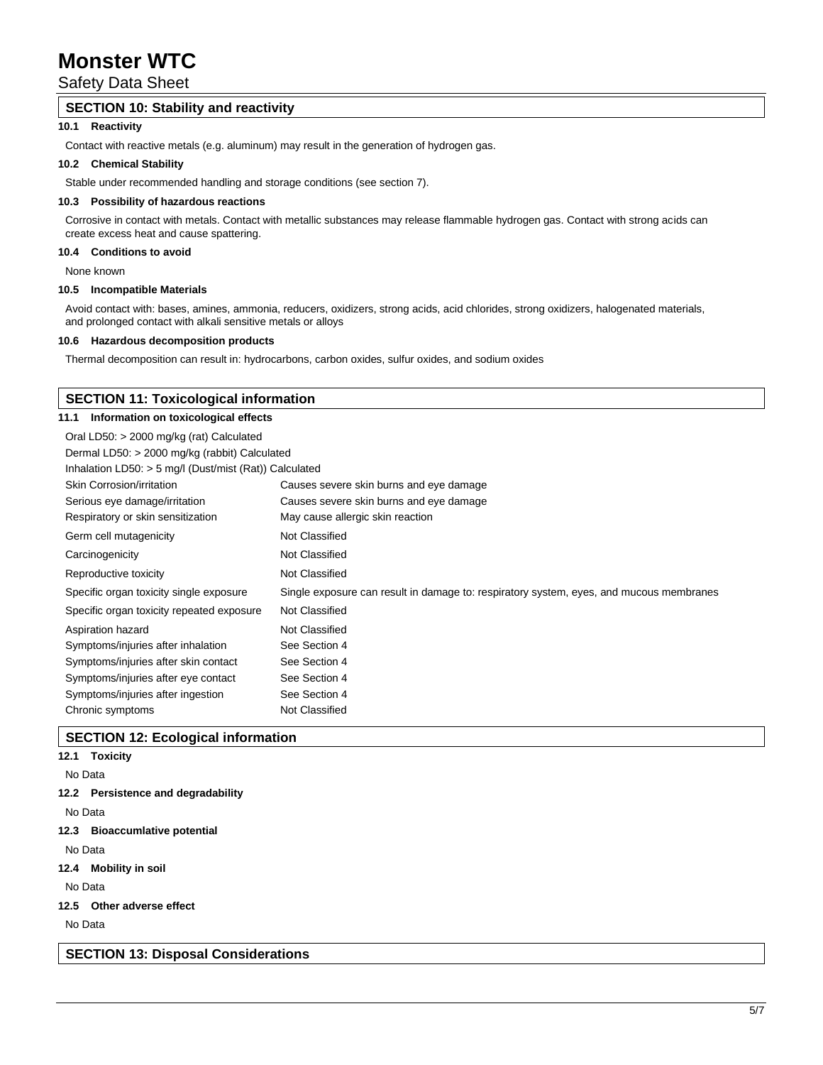Safety Data Sheet

# **SECTION 10: Stability and reactivity**

# **10.1 Reactivity**

Contact with reactive metals (e.g. aluminum) may result in the generation of hydrogen gas.

### **10.2 Chemical Stability**

Stable under recommended handling and storage conditions (see section 7).

#### **10.3 Possibility of hazardous reactions**

Corrosive in contact with metals. Contact with metallic substances may release flammable hydrogen gas. Contact with strong acids can create excess heat and cause spattering.

# **10.4 Conditions to avoid**

None known

#### **10.5 Incompatible Materials**

Avoid contact with: bases, amines, ammonia, reducers, oxidizers, strong acids, acid chlorides, strong oxidizers, halogenated materials, and prolonged contact with alkali sensitive metals or alloys

#### **10.6 Hazardous decomposition products**

Thermal decomposition can result in: hydrocarbons, carbon oxides, sulfur oxides, and sodium oxides

# **SECTION 11: Toxicological information 11.1 Information on toxicological effects** Oral LD50: > 2000 mg/kg (rat) Calculated Dermal LD50: > 2000 mg/kg (rabbit) Calculated Inhalation LD50: > 5 mg/l (Dust/mist (Rat)) Calculated Skin Corrosion/irritation Causes severe skin burns and eye damage Serious eye damage/irritation Causes severe skin burns and eye damage Respiratory or skin sensitization May cause allergic skin reaction Germ cell mutagenicity Not Classified Carcinogenicity **Not Classified** Reproductive toxicity Not Classified Specific organ toxicity single exposure Single exposure can result in damage to: respiratory system, eyes, and mucous membranes Specific organ toxicity repeated exposure Not Classified Aspiration hazard Not Classified Symptoms/injuries after inhalation See Section 4 Symptoms/injuries after skin contact See Section 4 Symptoms/injuries after eye contact See Section 4 Symptoms/injuries after ingestion See Section 4 Chronic symptoms Not Classified

# **SECTION 12: Ecological information**

# **12.1 Toxicity**

#### No Data

# **12.2 Persistence and degradability**

No Data

**12.3 Bioaccumlative potential**

No Data

**12.4 Mobility in soil**

No Data

**12.5 Other adverse effect**

No Data

**SECTION 13: Disposal Considerations**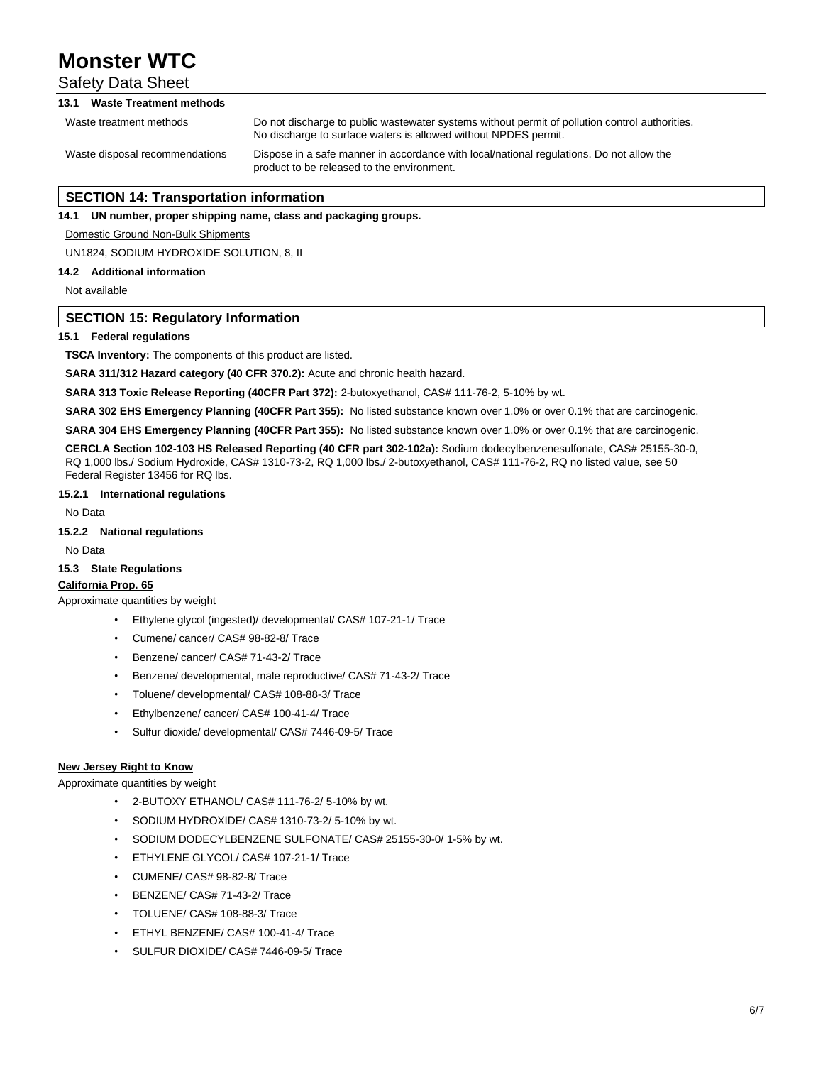# Safety Data Sheet

# **13.1 Waste Treatment methods**

Waste treatment methods Do not discharge to public wastewater systems without permit of pollution control authorities. No discharge to surface waters is allowed without NPDES permit. Waste disposal recommendations Dispose in a safe manner in accordance with local/national regulations. Do not allow the product to be released to the environment.

# **SECTION 14: Transportation information**

**14.1 UN number, proper shipping name, class and packaging groups.**

Domestic Ground Non-Bulk Shipments

UN1824, SODIUM HYDROXIDE SOLUTION, 8, II

#### **14.2 Additional information**

Not available

#### **SECTION 15: Regulatory Information**

#### **15.1 Federal regulations**

**TSCA Inventory:** The components of this product are listed.

**SARA 311/312 Hazard category (40 CFR 370.2):** Acute and chronic health hazard.

SARA 313 Toxic Release Reporting (40CFR Part 372): 2-butoxyethanol, CAS# 111-76-2, 5-10% by wt.

**SARA 302 EHS Emergency Planning (40CFR Part 355):** No listed substance known over 1.0% or over 0.1% that are carcinogenic.

**SARA 304 EHS Emergency Planning (40CFR Part 355):** No listed substance known over 1.0% or over 0.1% that are carcinogenic.

**CERCLA Section 102-103 HS Released Reporting (40 CFR part 302-102a):** Sodium dodecylbenzenesulfonate, CAS# 25155-30-0, RQ 1,000 lbs./ Sodium Hydroxide, CAS# 1310-73-2, RQ 1,000 lbs./ 2-butoxyethanol, CAS# 111-76-2, RQ no listed value, see 50 Federal Register 13456 for RQ lbs.

#### **15.2.1 International regulations**

No Data

# **15.2.2 National regulations**

No Data

#### **15.3 State Regulations**

#### **California Prop. 65**

Approximate quantities by weight

- Ethylene glycol (ingested)/ developmental/ CAS# 107-21-1/ Trace
- Cumene/ cancer/ CAS# 98-82-8/ Trace
- Benzene/ cancer/ CAS# 71-43-2/ Trace
- Benzene/ developmental, male reproductive/ CAS# 71-43-2/ Trace
- Toluene/ developmental/ CAS# 108-88-3/ Trace
- Ethylbenzene/ cancer/ CAS# 100-41-4/ Trace
- Sulfur dioxide/ developmental/ CAS# 7446-09-5/ Trace

#### **New Jersey Right to Know**

Approximate quantities by weight

- 2-BUTOXY ETHANOL/ CAS# 111-76-2/ 5-10% by wt.
- SODIUM HYDROXIDE/ CAS# 1310-73-2/ 5-10% by wt.
- SODIUM DODECYLBENZENE SULFONATE/ CAS# 25155-30-0/ 1-5% by wt.
- ETHYLENE GLYCOL/ CAS# 107-21-1/ Trace
- CUMENE/ CAS# 98-82-8/ Trace
- BENZENE/ CAS# 71-43-2/ Trace
- TOLUENE/ CAS# 108-88-3/ Trace
- ETHYL BENZENE/ CAS# 100-41-4/ Trace
- SULFUR DIOXIDE/ CAS# 7446-09-5/ Trace